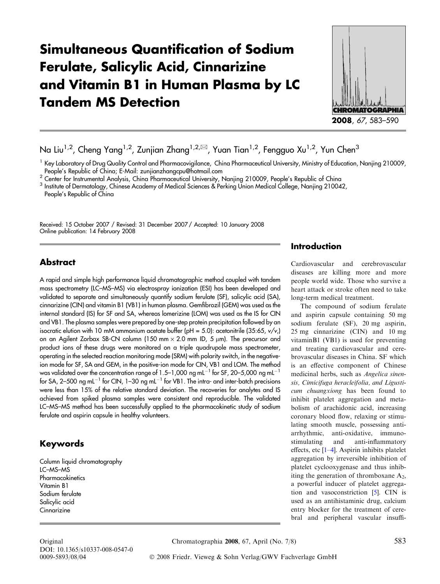# Simultaneous Quantification of Sodium Ferulate, Salicylic Acid, Cinnarizine and Vitamin B1 in Human Plasma by LC Tandem MS Detection



Na Liu<sup>1,2</sup>, Cheng Yang<sup>1,2</sup>, Zunjian Zhang<sup>1,2, $\boxtimes$ , Yuan Tian<sup>1,2</sup>, Fengguo Xu<sup>1,2</sup>, Yun Chen<sup>3</sup></sup>

<sup>2</sup> Center for Instrumental Analysis, China Pharmaceutical University, Nanjing 210009, People's Republic of China

<sup>3</sup> Institute of Dermatology, Chinese Academy of Medical Sciences & Perking Union Medical College, Nanjing 210042,

Received: 15 October 2007 / Revised: 31 December 2007 / Accepted: 10 January 2008 Online publication: 14 February 2008

## Abstract

A rapid and simple high performance liquid chromatographic method coupled with tandem mass spectrometry (LC–MS–MS) via electrospray ionization (ESI) has been developed and validated to separate and simultaneously quantify sodium ferulate (SF), salicylic acid (SA), cinnarizine (CIN) and vitamin B1 (VB1) in human plasma. Gemfibrozil (GEM) was used as the internal standard (IS) for SF and SA, whereas lomerizine (LOM) was used as the IS for CIN and VB1. The plasma samples were prepared by one-step protein precipitation followed by an isocratic elution with 10 mM ammonium acetate buffer (pH = 5.0): acetonitrile (35:65,  $v/v$ ,) on an Agilent Zorbax SB-CN column (150 mm  $\times$  2.0 mm ID, 5  $\mu$ m). The precursor and product ions of these drugs were monitored on a triple quadrupole mass spectrometer, operating in the selected reaction monitoring mode (SRM) with polarity switch, in the negativeion mode for SF, SA and GEM, in the positive-ion mode for CIN, VB1 and LOM. The method was validated over the concentration range of 1.5–1,000 ng mL<sup>-1</sup> for SF, 20–5,000 ng mL<sup>-1</sup> for SA, 2–500 ng mL<sup>-1</sup> for CIN, 1–30 ng mL<sup>-1</sup> for VB1. The intra- and inter-batch precisions were less than 15% of the relative standard deviation. The recoveries for analytes and IS achieved from spiked plasma samples were consistent and reproducible. The validated LC–MS–MS method has been successfully applied to the pharmacokinetic study of sodium ferulate and aspirin capsule in healthy volunteers.

# Keywords

Column liquid chromatography LC–MS–MS **Pharmacokinetics** Vitamin B1 Sodium ferulate Salicylic acid **Cinnarizine** 

## Introduction

Cardiovascular and cerebrovascular diseases are killing more and more people world wide. Those who survive a heart attack or stroke often need to take long-term medical treatment.

The compound of sodium ferulate and aspirin capsule containing 50 mg sodium ferulate (SF), 20 mg aspirin, 25 mg cinnarizine (CIN) and 10 mg vitaminB1 (VB1) is used for preventing and treating cardiovascular and cerebrovascular diseases in China. SF which is an effective component of Chinese medicinal herbs, such as Angelica sinensis, Cimicifuga heracleifolia, and Ligusticum chuangxiong has been found to inhibit platelet aggregation and metabolism of arachidonic acid, increasing coronary blood flow, relaxing or stimulating smooth muscle, possessing antiarrhythmic, anti-oxidative, immunostimulating and anti-inflammatory effects, etc [[1–4](#page-7-0)]. Aspirin inhibits platelet aggregation by irreversible inhibition of platelet cyclooxygenase and thus inhibiting the generation of thromboxane  $A_2$ , a powerful inducer of platelet aggregation and vasoconstriction [\[5\]](#page-7-0). CIN is used as an antihistaminic drug, calcium entry blocker for the treatment of cerebral and peripheral vascular insuffi-

DOI: 10.1365/s10337-008-0547-0

 $^1$  Key Laboratory of Drug Quality Control and Pharmacovigilance, China Pharmaceutical University, Ministry of Education, Nanjing 210009, People's Republic of China; E-Mail: zunjianzhangcpu@hotmail.com

People's Republic of China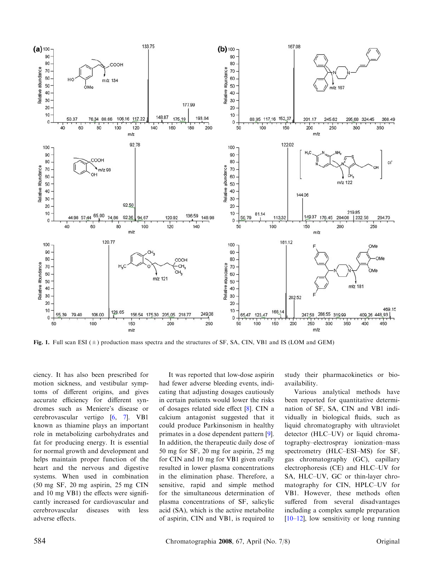<span id="page-1-0"></span>

Fig. 1. Full scan ESI  $(\pm)$  production mass spectra and the structures of SF, SA, CIN, VB1 and IS (LOM and GEM)

ciency. It has also been prescribed for motion sickness, and vestibular symptoms of different origins, and gives accurate efficiency for different syndromes such as Meniere's disease or cerebrovascular vertigo [\[6,](#page-7-0) [7](#page-7-0)]. VB1 known as thiamine plays an important role in metabolizing carbohydrates and fat for producing energy. It is essential for normal growth and development and helps maintain proper function of the heart and the nervous and digestive systems. When used in combination (50 mg SF, 20 mg aspirin, 25 mg CIN and 10 mg VB1) the effects were significantly increased for cardiovascular and cerebrovascular diseases with less adverse effects.

It was reported that low-dose aspirin had fewer adverse bleeding events, indicating that adjusting dosages cautiously in certain patients would lower the risks of dosages related side effect [\[8\]](#page-7-0). CIN a calcium antagonist suggested that it could produce Parkinsonism in healthy primates in a dose dependent pattern [[9](#page-7-0)]. In addition, the therapeutic daily dose of 50 mg for SF, 20 mg for aspirin, 25 mg for CIN and 10 mg for VB1 given orally resulted in lower plasma concentrations in the elimination phase. Therefore, a sensitive, rapid and simple method for the simultaneous determination of plasma concentrations of SF, salicylic acid (SA), which is the active metabolite of aspirin, CIN and VB1, is required to study their pharmacokinetics or bioavailability.

Various analytical methods have been reported for quantitative determination of SF, SA, CIN and VB1 individually in biological fluids, such as liquid chromatography with ultraviolet detector (HLC–UV) or liquid chromatography–electrospray ionization–mass spectrometry (HLC–ESI–MS) for SF, gas chromatography (GC), capillary electrophoresis (CE) and HLC–UV for SA, HLC–UV, GC or thin-layer chromatography for CIN, HPLC–UV for VB1. However, these methods often suffered from several disadvantages including a complex sample preparation [[10–12](#page-7-0)], low sensitivity or long running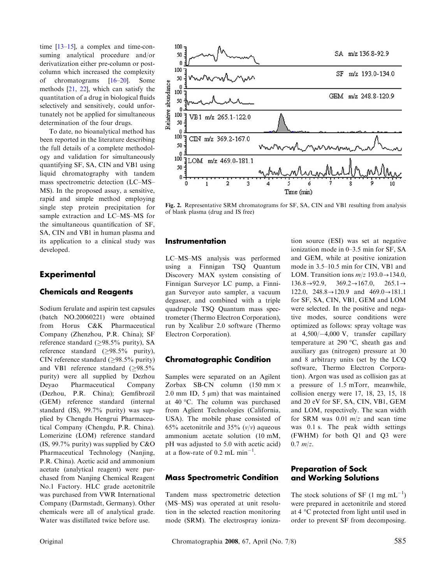<span id="page-2-0"></span>time [\[13](#page-7-0)–[15\]](#page-7-0), a complex and time-consuming analytical procedure and/or derivatization either pre-column or postcolumn which increased the complexity of chromatograms [\[16–20](#page-7-0)]. Some methods [[21,](#page-7-0) [22](#page-7-0)], which can satisfy the quantitation of a drug in biological fluids selectively and sensitively, could unfortunately not be applied for simultaneous determination of the four drugs.

To date, no bioanalytical method has been reported in the literature describing the full details of a complete methodology and validation for simultaneously quantifying SF, SA, CIN and VB1 using liquid chromatography with tandem mass spectrometric detection (LC–MS– MS). In the proposed assay, a sensitive, rapid and simple method employing single step protein precipitation for sample extraction and LC–MS–MS for the simultaneous quantification of SF, SA, CIN and VB1 in human plasma and its application to a clinical study was developed.

## **Experimental**

#### Chemicals and Reagents

Sodium ferulate and aspirin test capsules (batch NO.20060221) were obtained from Horus C&K Pharmaceutical Company (Zhenzhou, P.R. China); SF reference standard ( $\geq$ 98.5% purity), SA reference standard  $(\geq 98.5\%$  purity), CIN reference standard ( $\geq$ 98.5% purity) and VB1 reference standard  $(≥98.5%$ purity) were all supplied by Dezhou Deyao Pharmaceutical Company (Dezhou, P.R. China); Gemfibrozil (GEM) reference standard (internal standard (IS), 99.7% purity) was supplied by Chengdu Hengrui Pharmaceutical Company (Chengdu, P.R. China). Lomerizine (LOM) reference standard (IS, 99.7% purity) was supplied by C&O Pharmaceutical Technology (Nanjing, P.R. China). Acetic acid and ammonium acetate (analytical reagent) were purchased from Nanjing Chemical Reagent No.1 Factory. HLC grade acetonitrile was purchased from VWR International Company (Darmstadt, Germany). Other chemicals were all of analytical grade. Water was distillated twice before use.



Fig. 2. Representative SRM chromatograms for SF, SA, CIN and VB1 resulting from analysis of blank plasma (drug and IS free)

#### **Instrumentation**

LC–MS–MS analysis was performed using a Finnigan TSQ Quantum Discovery MAX system consisting of Finnigan Surveyor LC pump, a Finnigan Surveyor auto sampler, a vacuum degasser, and combined with a triple quadrupole TSQ Quantum mass spectrometer (Thermo Electron Corporation), run by Xcalibur 2.0 software (Thermo Electron Corporation).

#### Chromatographic Condition

Samples were separated on an Agilent Zorbax SB-CN column  $(150 \text{ mm} \times$ 2.0 mm ID,  $5 \mu m$ ) that was maintained at 40 °C. The column was purchased from Aglient Technologies (California, USA). The mobile phase consisted of 65% acetonitrile and 35%  $(v/v)$  aqueous ammonium acetate solution (10 mM, pH was adjusted to 5.0 with acetic acid) at a flow-rate of  $0.2$  mL min<sup>-1</sup>.

#### Mass Spectrometric Condition

Tandem mass spectrometric detection (MS–MS) was operated at unit resolution in the selected reaction monitoring mode (SRM). The electrospray ioniza-

tion source (ESI) was set at negative ionization mode in 0–3.5 min for SF, SA and GEM, while at positive ionization mode in 3.5–10.5 min for CIN, VB1 and LOM. Transition ions  $m/z$  193.0 $\rightarrow$ 134.0,  $136.8 \rightarrow 92.9, \quad 369.2 \rightarrow 167.0, \quad 265.1 \rightarrow$ 122.0,  $248.8 \rightarrow 120.9$  and  $469.0 \rightarrow 181.1$ for SF, SA, CIN, VB1, GEM and LOM were selected. In the positive and negative modes, source conditions were optimized as follows: spray voltage was at  $4,500/-4,000$  V, transfer capillary temperature at 290  $\degree$ C, sheath gas and auxiliary gas (nitrogen) pressure at 30 and 8 arbitrary units (set by the LCQ software, Thermo Electron Corporation). Argon was used as collision gas at a pressure of 1.5 mTorr, meanwhile, collision energy were 17, 18, 23, 15, 18 and 20 eV for SF, SA, CIN, VB1, GEM and LOM, respectively. The scan width for SRM was 0.01  $m/z$  and scan time was 0.1 s. The peak width settings (FWHM) for both Q1 and Q3 were  $0.7 m/z.$ 

#### Preparation of Sock and Working Solutions

The stock solutions of SF  $(1 \text{ mg } \text{mL}^{-1})$ were prepared in acetonitrile and stored at 4 °C protected from light until used in order to prevent SF from decomposing.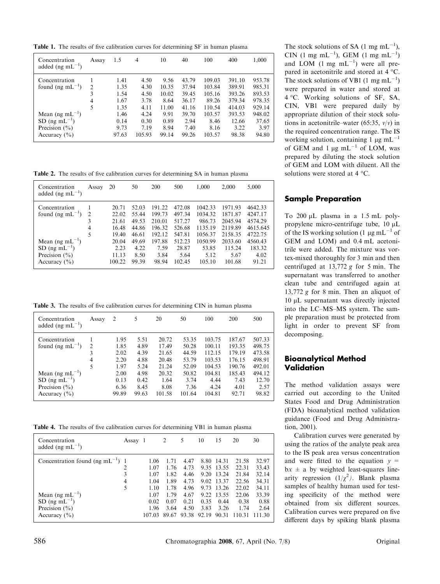<span id="page-3-0"></span>Table 1. The results of five calibration curves for determining SF in human plasma

| Concentration<br>added (ng mL $^{-1}$ )   | Assay | 1.5   | 4      | 10    | 40    | 100    | 400    | 1,000  |
|-------------------------------------------|-------|-------|--------|-------|-------|--------|--------|--------|
| Concentration                             |       | 1.41  | 4.50   | 9.56  | 43.79 | 109.03 | 391.10 | 953.78 |
| found (ng mL <sup><math>-1</math></sup> ) | 2     | 1.35  | 4.30   | 10.35 | 37.94 | 103.84 | 389.91 | 985.31 |
|                                           | 3     | 1.54  | 4.50   | 10.02 | 39.45 | 105.16 | 393.26 | 893.53 |
|                                           | 4     | 1.67  | 3.78   | 8.64  | 36.17 | 89.26  | 379.34 | 978.35 |
|                                           | 5     | 1.35  | 4.11   | 11.00 | 41.16 | 110.54 | 414.03 | 929.14 |
| Mean (ng mL <sup>-1</sup> )               |       | 1.46  | 4.24   | 9.91  | 39.70 | 103.57 | 393.53 | 948.02 |
| SD $(ng \text{ mL}^{-1})$                 |       | 0.14  | 0.30   | 0.89  | 2.94  | 8.46   | 12.66  | 37.65  |
| Precision $(\% )$                         |       | 9.73  | 7.19   | 8.94  | 7.40  | 8.16   | 3.22   | 3.97   |
| Accuracy $(\% )$                          |       | 97.63 | 105.93 | 99.14 | 99.26 | 103.57 | 98.38  | 94.80  |

Table 2. The results of five calibration curves for determining SA in human plasma

| Concentration<br>added (ng m $L^{-1}$ )  | Assay          | 20     | 50    | 200    | 500    | 1,000   | 2,000   | 5,000    |
|------------------------------------------|----------------|--------|-------|--------|--------|---------|---------|----------|
| Concentration                            |                | 20.71  | 52.03 | 191.22 | 472.08 | 1042.33 | 1971.93 | 4642.33  |
| found (ng $mL^{-1}$ )                    | $\overline{2}$ | 22.02  | 55.44 | 199.73 | 497.34 | 1034.32 | 1871.87 | 4247.17  |
|                                          | 3              | 21.61  | 49.53 | 210.01 | 517.27 | 986.73  | 2045.94 | 4574.29  |
|                                          | 4              | 16.48  | 44.86 | 196.32 | 526.68 | 1135.19 | 2119.89 | 4615.645 |
|                                          | 5              | 19.40  | 46.61 | 192.12 | 547.81 | 1056.37 | 2158.35 | 4722.75  |
| Mean (ng mL <sup><math>-1</math></sup> ) |                | 20.04  | 49.69 | 197.88 | 512.23 | 1050.99 | 2033.60 | 4560.43  |
| $SD$ (ng mL <sup>-1</sup> )              |                | 2.23   | 4.22  | 7.59   | 28.87  | 53.85   | 115.24  | 183.32   |
| Precision $(\% )$                        |                | 11.13  | 8.50  | 3.84   | 5.64   | 5.12    | 5.67    | 4.02     |
| Accuracy $(\% )$                         |                | 100.22 | 99.39 | 98.94  | 102.45 | 105.10  | 101.68  | 91.21    |

Table 3. The results of five calibration curves for determining CIN in human plasma

| Concentration<br>added (ng m $L^{-1}$ )  | Assay          | $\overline{2}$ | 5     | 20     | 50     | 100    | 200    | 500    |
|------------------------------------------|----------------|----------------|-------|--------|--------|--------|--------|--------|
| Concentration                            |                | 1.95           | 5.51  | 20.72  | 53.35  | 103.75 | 187.67 | 507.33 |
| found (ng $mL^{-1}$ )                    | $\overline{2}$ | 1.85           | 4.89  | 17.49  | 50.28  | 100.11 | 193.35 | 498.75 |
|                                          | 3              | 2.02           | 4.39  | 21.65  | 44.59  | 112.15 | 179.19 | 473.58 |
|                                          | 4              | 2.20           | 4.88  | 20.48  | 53.79  | 103.53 | 176.15 | 498.91 |
|                                          | 5              | 1.97           | 5.24  | 21.24  | 52.09  | 104.53 | 190.76 | 492.01 |
| Mean (ng mL <sup><math>-1</math></sup> ) |                | 2.00           | 4.98  | 20.32  | 50.82  | 104.81 | 185.43 | 494.12 |
| SD $(ng \text{ mL}^{-1})$                |                | 0.13           | 0.42  | 1.64   | 3.74   | 4.44   | 7.43   | 12.70  |
| Precision $(\% )$                        |                | 6.36           | 8.45  | 8.08   | 7.36   | 4.24   | 4.01   | 2.57   |
| Accuracy $(\% )$                         |                | 99.89          | 99.63 | 101.58 | 101.64 | 104.81 | 92.71  | 98.82  |

Table 4. The results of five calibration curves for determining VB1 in human plasma

| Concentration<br>added (ng m $L^{-1}$ )          | Assay 1 |              | 2            | 5            | 10           | 15             | 20             | 30             |
|--------------------------------------------------|---------|--------------|--------------|--------------|--------------|----------------|----------------|----------------|
| Concentration found (ng $mL^{-1}$ ) 1            | 2       | 1.06<br>1.07 | 1.76         | 4.47<br>4.73 | 8.80<br>9.35 | 14.31<br>13.55 | 21.58<br>22.31 | 32.97<br>33.43 |
|                                                  | 3       | 1.07         | 1.82         | 4.46         | 9.20         | 13.24          | 21.84          | 32.14          |
|                                                  | 4<br>5  | 1.04<br>1.10 | 1.89<br>1.78 | 4.73<br>4.96 | 9.02<br>9.73 | 13.37<br>13.26 | 22.56<br>22.02 | 34.31<br>34.11 |
| Mean (ng mL <sup><math>-1</math></sup> )         |         | 1.07         | 1.79         | 4.67         | 9.22         | 13.55          | 22.06          | 33.39          |
| $SD$ (ng mL <sup>-1</sup> )<br>Precision $(\% )$ |         | 0.02<br>1.96 | 0.07<br>3.64 | 0.21<br>4.50 | 0.35<br>3.83 | 0.44<br>3.26   | 0.38<br>1.74   | 0.88<br>2.64   |
| Accuracy $(\% )$                                 |         | 107.03       | 89.67        | 93.38        | 92.19        | 90.31          | 110.31         | 111.30         |

The stock solutions of SA  $(1 \text{ mg } \text{mL}^{-1})$ ,  $CIN$  (1 mg mL<sup>-1</sup>), GEM (1 mg mL<sup>-1</sup>) and LOM  $(1 \text{ mg } \text{mL}^{-1})$  were all prepared in acetonitrile and stored at  $4^{\circ}$ C. The stock solutions of VB1 (1 mg mL<sup>-1</sup>) were prepared in water and stored at 4 °C. Working solutions of SF, SA, CIN, VB1 were prepared daily by appropriate dilution of their stock solutions in acetonitrile–water (65:35,  $v/v$ ) in the required concentration range. The IS working solution, containing 1  $\mu$ g mL<sup>-1</sup> of GEM and 1  $\mu$ g mL<sup>-1</sup> of LOM, was prepared by diluting the stock solution of GEM and LOM with diluent. All the solutions were stored at  $4^{\circ}$ C.

#### Sample Preparation

To 200 µL plasma in a 1.5 mL polypropylene micro-centrifuge tube,  $10 \mu L$ of the IS working solution (1  $\mu$ g mL<sup>-1</sup> of GEM and LOM) and 0.4 mL acetonitrile were added. The mixture was vortex-mixed thoroughly for 3 min and then centrifuged at  $13,772$  g for 5 min. The supernatant was transferred to another clean tube and centrifuged again at 13,772 g for 8 min. Then an aliquot of 10 µL supernatant was directly injected into the LC–MS–MS system. The sample preparation must be protected from light in order to prevent SF from decomposing.

## Bioanalytical Method Validation

The method validation assays were carried out according to the United States Food and Drug Administration (FDA) bioanalytical method validation guidance (Food and Drug Administration, 2001).

Calibration curves were generated by using the ratios of the analyte peak area to the IS peak area versus concentration and were fitted to the equation  $y =$  $bx \pm a$  by weighted least-squares linearity regression  $(1/\chi^2)$ . Blank plasma samples of healthy human used for testing specificity of the method were obtained from six different sources. Calibration curves were prepared on five different days by spiking blank plasma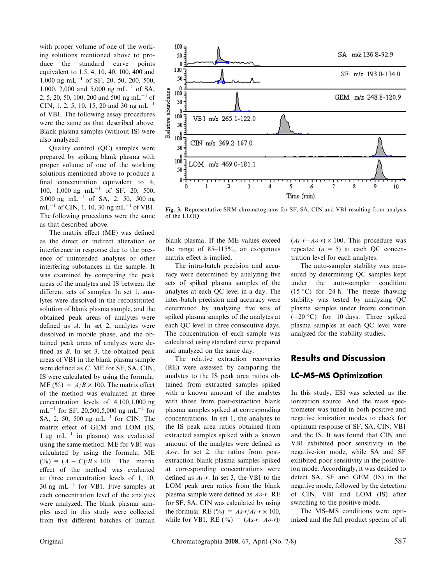<span id="page-4-0"></span>with proper volume of one of the working solutions mentioned above to produce the standard curve points equivalent to 1.5, 4, 10, 40, 100, 400 and  $1,000$  ng mL<sup>-1</sup> of SF, 20, 50, 200, 500, 1,000, 2,000 and 5,000 ng mL<sup>-1</sup> of SA, 2, 5, 20, 50, 100, 200 and 500 ng mL<sup>-1</sup> of CIN, 1, 2, 5, 10, 15, 20 and 30 ng mL<sup>-1</sup> of VB1. The following assay procedures were the same as that described above. Blank plasma samples (without IS) were also analyzed.

Quality control (QC) samples were prepared by spiking blank plasma with proper volume of one of the working solutions mentioned above to produce a final concentration equivalent to 4, 100, 1,000 ng  $mL^{-1}$  of SF, 20, 500, 5,000 ng mL<sup>-1</sup> of SA, 2, 50, 500 ng  $mL^{-1}$  of CIN, 1, 10, 30 ng mL<sup>-1</sup> of VB1. The following procedures were the same as that described above.

The matrix effect (ME) was defined as the direct or indirect alteration or interference in response due to the presence of unintended analytes or other interfering substances in the sample. It was examined by comparing the peak areas of the analytes and IS between the different sets of samples. In set 1, analytes were dissolved in the reconstituted solution of blank plasma sample, and the obtained peak areas of analytes were defined as A. In set 2, analytes were dissolved in mobile phase, and the obtained peak areas of analytes were defined as B. In set 3, the obtained peak areas of VB1 in the blank plasma sample were defined as C. ME for SF, SA, CIN, IS were calculated by using the formula: ME (%) =  $A/B \times 100$ . The matrix effect of the method was evaluated at three concentration levels of 4,100,1,000 ng  $mL^{-1}$  for SF, 20,500,5,000 ng mL<sup>-1</sup> for SA, 2, 50, 500 ng mL $^{-1}$  for CIN. The matrix effect of GEM and LOM (IS,  $1 \mu g$  mL<sup>-1</sup> in plasma) was evaluated using the same method. ME for VB1 was calculated by using the formula: ME  $(^{9}/_{0}) = (A - C)/B \times 100$ . The matrix effect of the method was evaluated at three concentration levels of 1, 10, 30 ng mL $^{-1}$  for VB1. Five samples at each concentration level of the analytes were analyzed. The blank plasma samples used in this study were collected from five different batches of human



Fig. 3. Representative SRM chromatograms for SF, SA, CIN and VB1 resulting from analysis of the LLOQ

blank plasma. If the ME values exceed the range of 85–115%, an exogenous matrix effect is implied.

The intra-batch precision and accuracy were determined by analyzing five sets of spiked plasma samples of the analytes at each QC level in a day. The inter-batch precision and accuracy were determined by analyzing five sets of spiked plasma samples of the analytes at each QC level in three consecutive days. The concentration of each sample was calculated using standard curve prepared and analyzed on the same day.

The relative extraction recoveries (RE) were assessed by comparing the analytes to the IS peak area ratios obtained from extracted samples spiked with a known amount of the analytes with those from post-extraction blank plasma samples spiked at corresponding concentrations. In set 1, the analytes to the IS peak area ratios obtained from extracted samples spiked with a known amount of the analytes were defined as As-r. In set 2, the ratios from postextraction blank plasma samples spiked at corresponding concentrations were defined as Ar-r. In set 3, the VB1 to the LOM peak area ratios from the blank plasma sample were defined as Ao-r. RE for SF, SA, CIN was calculated by using the formula: RE  $(\% ) = As-r/Ar-r \times 100,$ while for VB1, RE  $(^{0}_{0}) = (As-r-Ao-r)/$   $(Ar-r-Ao-r) \times 100$ . This procedure was repeated  $(n = 5)$  at each QC concentration level for each analytes.

The auto-sampler stability was measured by determining QC samples kept under the auto-sampler condition  $(15 \degree C)$  for 24 h. The freeze thawing stability was tested by analyzing QC plasma samples under freeze condition  $(-20 \degree C)$  for 10 days. Three spiked plasma samples at each QC level were analyzed for the stability studies.

## Results and Discussion

#### LC–MS–MS Optimization

In this study, ESI was selected as the ionization source. And the mass spectrometer was tuned in both positive and negative ionization modes to check for optimum response of SF, SA, CIN, VB1 and the IS. It was found that CIN and VB1 exhibited poor sensitivity in the negative-ion mode, while SA and SF exhibited poor sensitivity in the positiveion mode. Accordingly, it was decided to detect SA, SF and GEM (IS) in the negative mode, followed by the detection of CIN, VB1 and LOM (IS) after switching to the positive mode.

The MS–MS conditions were optimized and the full product spectra of all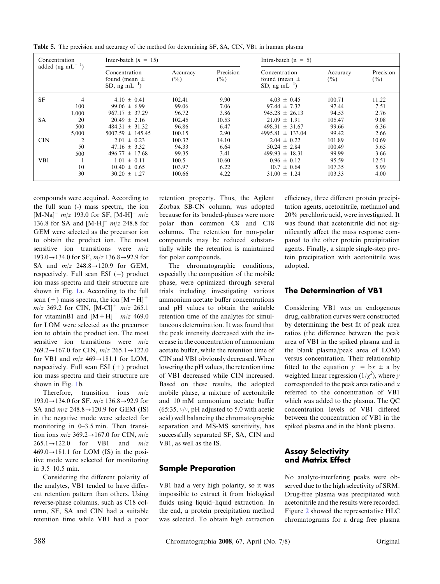| Concentration<br>added (ng mL <sup><math>-1</math></sup> ) |       | Inter-batch $(n = 15)$                                    |                    |                     | Intra-batch $(n = 5)$                                     |                    |                     |  |  |
|------------------------------------------------------------|-------|-----------------------------------------------------------|--------------------|---------------------|-----------------------------------------------------------|--------------------|---------------------|--|--|
|                                                            |       | Concentration<br>found (mean $\pm$<br>SD, ng m $L^{-1}$ ) | Accuracy<br>$(\%)$ | Precision<br>$(\%)$ | Concentration<br>found (mean $\pm$<br>SD, ng m $L^{-1}$ ) | Accuracy<br>$($ %) | Precision<br>$($ %) |  |  |
| <b>SF</b>                                                  | 4     | $4.10 \pm 0.41$                                           | 102.41             | 9.90                | $4.03 \pm 0.45$                                           | 100.71             | 11.22               |  |  |
|                                                            | 100   | $99.06 \pm 6.99$                                          | 99.06              | 7.06                | $97.44 \pm 7.32$                                          | 97.44              | 7.51                |  |  |
|                                                            | 1.000 | $967.17 \pm 37.29$                                        | 96.72              | 3.86                | $945.28 \pm 26.13$                                        | 94.53              | 2.76                |  |  |
| <b>SA</b>                                                  | 20    | $20.49 \pm 2.16$                                          | 102.45             | 10.53               | $21.09 \pm 1.91$                                          | 105.47             | 9.08                |  |  |
|                                                            | 500   | $484.31 \pm 31.32$                                        | 96.86              | 6.47                | $498.31 \pm 31.67$                                        | 99.66              | 6.36                |  |  |
|                                                            | 5,000 | $5007.59 \pm 145.45$                                      | 100.15             | 2.90                | $4995.81 \pm 133.04$                                      | 99.42              | 2.66                |  |  |
| <b>CIN</b>                                                 | 2     | $2.01 \pm 0.23$                                           | 100.32             | 14.10               | $2.04 \pm 0.22$                                           | 101.89             | 10.69               |  |  |
|                                                            | 50    | $47.16 \pm 3.32$                                          | 94.33              | 6.64                | $50.24 \pm 2.84$                                          | 100.49             | 5.65                |  |  |
|                                                            | 500   | $496.77 \pm 17.68$                                        | 99.35              | 3.41                | $499.93 \pm 18.31$                                        | 99.99              | 3.66                |  |  |
| V <sub>B1</sub>                                            |       | $1.01 \pm 0.11$                                           | 100.5              | 10.60               | $0.96 \pm 0.12$                                           | 95.59              | 12.51               |  |  |
|                                                            | 10    | $10.40 \pm 0.65$                                          | 103.97             | 6.22                | $10.7 \pm 0.64$                                           | 107.35             | 5.99                |  |  |
|                                                            | 30    | $30.20 \pm 1.27$                                          | 100.66             | 4.22                | $31.00 \pm 1.24$                                          | 103.33             | 4.00                |  |  |

<span id="page-5-0"></span>Table 5. The precision and accuracy of the method for determining SF, SA, CIN, VB1 in human plasma

compounds were acquired. According to the full scan (-) mass spectra, the ion  $[M-Na]$ <sup>-</sup>  $m/z$  193.0 for SF,  $[M-H]$ <sup>-</sup>  $m/z$ 136.8 for SA and  $[M-H]$ <sup>-</sup>  $m/z$  248.8 for GEM were selected as the precursor ion to obtain the product ion. The most sensitive ion transitions were  $m/z$  $193.0 \rightarrow 134.0$  for SF,  $m/z$  136.8 $\rightarrow$ 92.9 for SA and  $m/z$  248.8 $\rightarrow$ 120.9 for GEM, respectively. Full scan ESI  $(-)$  product ion mass spectra and their structure are shown in Fig. [1](#page-1-0)a. According to the full scan (+) mass spectra, the ion  $[M+H]$ <sup>+</sup>  $m/z$  369.2 for CIN,  $[M-Cl]^+$   $m/z$  265.1 for vitaminB1 and  $[M+H]^{+}$   $m/z$  469.0 for LOM were selected as the precursor ion to obtain the product ion. The most sensitive ion transitions were  $m/z$ 369.2 $\rightarrow$ 167.0 for CIN,  $m/z$  265.1 $\rightarrow$ 122.0 for VB1 and  $m/z$  469 $\rightarrow$ 181.1 for LOM, respectively. Full scan ESI  $(+)$  product ion mass spectra and their structure are shown in Fig. [1](#page-1-0)b.

Therefore, transition ions  $m/z$  $193.0 \rightarrow 134.0$  for SF,  $m/z$  136.8 $\rightarrow$ 92.9 for SA and  $m/z$  248.8 $\rightarrow$ 120.9 for GEM (IS) in the negative mode were selected for monitoring in 0–3.5 min. Then transition ions  $m/z$  369.2 $\rightarrow$ 167.0 for CIN,  $m/z$  $265.1 \rightarrow 122.0$  for VB1 and  $m/z$  $469.0 \rightarrow 181.1$  for LOM (IS) in the positive mode were selected for monitoring in 3.5–10.5 min.

Considering the different polarity of the analytes, VB1 tended to have different retention pattern than others. Using reverse-phase columns, such as C18 column, SF, SA and CIN had a suitable retention time while VB1 had a poor

retention property. Thus, the Agilent Zorbax SB-CN column, was adopted because for its bonded-phases were more polar than common C8 and C18 columns. The retention for non-polar compounds may be reduced substantially while the retention is maintained for polar compounds.

The chromatographic conditions, especially the composition of the mobile phase, were optimized through several trials including investigating various ammonium acetate buffer concentrations and pH values to obtain the suitable retention time of the analytes for simultaneous determination. It was found that the peak intensity decreased with the increase in the concentration of ammonium acetate buffer, while the retention time of CIN and VB1 obviously decreased. When lowering the pH values, the retention time of VB1 decreased while CIN increased. Based on these results, the adopted mobile phase, a mixture of acetonitrile and 10 mM ammonium acetate buffer (65:35,  $v/v$ , pH adjusted to 5.0 with acetic acid) well balancing the chromatographic separation and MS-MS sensitivity, has successfully separated SF, SA, CIN and VB1, as well as the IS.

#### Sample Preparation

VB1 had a very high polarity, so it was impossible to extract it from biological fluids using liquid–liquid extraction. In the end, a protein precipitation method was selected. To obtain high extraction

efficiency, three different protein precipitation agents, acetonitrile, methanol and 20% perchloric acid, were investigated. It was found that acetonitrile did not significantly affect the mass response compared to the other protein precipitation agents. Finally, a simple single-step protein precipitation with acetonitrile was adopted.

#### The Determination of VB1

Considering VB1 was an endogenous drug, calibration curves were constructed by determining the best fit of peak area ratios (the difference between the peak area of VB1 in the spiked plasma and in the blank plasma/peak area of LOM) versus concentration. Their relationship fitted to the equation  $y = bx \pm a$  by weighted linear regression  $(1/\chi^2)$ , where y corresponded to the peak area ratio and x referred to the concentration of VB1 which was added to the plasma. The QC concentration levels of VB1 differed between the concentration of VB1 in the spiked plasma and in the blank plasma.

## Assay Selectivity and Matrix Effect

No analyte-interfering peaks were observed due to the high selectivity of SRM. Drug-free plasma was precipitated with acetonitrile and the results were recorded. Figure [2](#page-2-0) showed the representative HLC chromatograms for a drug free plasma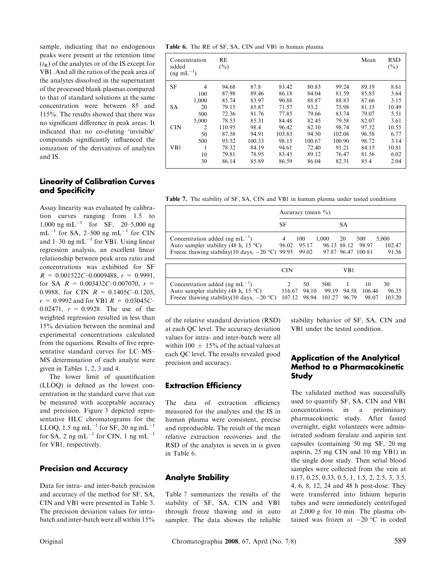sample, indicating that no endogenous peaks were present at the retention time  $(t_R)$  of the analytes or of the IS except for VB1. And all the ratios of the peak area of the analytes dissolved in the supernatant of the processed blank plasmas compared to that of standard solutions at the same concentration were between 85 and 115%. The results showed that there was no significant difference in peak areas. It indicated that no co-eluting 'invisible' compounds significantly influenced the ionization of the derivatives of analytes and IS.

#### Linearity of Calibration Curves and Specificity

Assay linearity was evaluated by calibration curves ranging from 1.5 to 1,000 ng mL<sup>-1</sup> for SF, 20-5,000 ng  $mL^{-1}$  for SA, 2–500 ng  $mL^{-1}$  for CIN and  $1-30$  ng mL<sup>-1</sup> for VB1. Using linear regression analysis, an excellent linear relationship between peak area ratio and concentrations was exhibited for SF  $R = 0.001522C - 0.0009488$ ,  $r = 0.9991$ , for SA  $R = 0.003432C - 0.007070$ ,  $r =$ 0.9988, for CIN  $R = 0.1405C - 0.1205$ ,  $r = 0.9992$  and for VB1  $R = 0.03045C$ 0.02471,  $r = 0.9928$ . The use of the weighted regression resulted in less than 15% deviation between the nominal and experimental concentrations calculated from the equations. Results of five representative standard curves for LC–MS– MS determination of each analyte were given in Tables [1,](#page-3-0) [2,](#page-3-0) [3](#page-3-0) and [4](#page-3-0).

The lower limit of quantification (LLOQ) is defined as the lowest concentration in the standard curve that can be measured with acceptable accuracy and precision. Figure [3](#page-4-0) depicted representative HLC chromatograms for the LLOQ, 1.5 ng mL<sup>-1</sup> for SF, 20 ng mL<sup>-1</sup> for SA, 2 ng mL<sup>-1</sup> for CIN, 1 ng mL<sup>-1</sup> for VB1, respectively.

#### Precision and Accuracy

Data for intra- and inter-batch precision and accuracy of the method for SF, SA, CIN and VB1 were presented in Table [5](#page-5-0). The precision deviation values for intrabatch and inter-batch were all within 15%

Table 6. The RE of SF, SA, CIN and VB1 in human plasma

| added<br>$(ng \text{ mL}^{-1})$ | Concentration | <b>RE</b><br>(%) |        |        |        |        | Mean  | <b>RSD</b><br>$(\%)$ |
|---------------------------------|---------------|------------------|--------|--------|--------|--------|-------|----------------------|
| <b>SF</b>                       | 4             | 94.68            | 87.8   | 83.42  | 80.83  | 99.24  | 89.19 | 8.61                 |
|                                 | 100           | 87.98            | 89.46  | 86.18  | 84.04  | 81.59  | 85.85 | 3.64                 |
|                                 | 1.000         | 85.74            | 83.97  | 90.88  | 88.87  | 88.83  | 87.66 | 3.15                 |
| <b>SA</b>                       | 20            | 79.15            | 85.87  | 71.57  | 93.2   | 75.98  | 81.15 | 10.49                |
|                                 | 500           | 72.36            | 81.76  | 77.85  | 79.66  | 83.74  | 79.07 | 5.51                 |
|                                 | 5,000         | 78.53            | 85.31  | 84.48  | 82.45  | 79.58  | 82.07 | 3.61                 |
| <b>CIN</b>                      | 2             | 110.95           | 98.4   | 96.42  | 82.10  | 98.74  | 97.32 | 10.55                |
|                                 | 50            | 87.58            | 94.91  | 103.83 | 94.50  | 102.08 | 96.58 | 6.77                 |
|                                 | 500           | 93.52            | 100.33 | 98.15  | 100.67 | 100.90 | 98.72 | 3.14                 |
| V <sub>B1</sub>                 | н             | 78.32            | 84.19  | 94.61  | 72.40  | 91.21  | 84.15 | 10.81                |
|                                 | 10            | 79.81            | 78.95  | 83.45  | 89.12  | 76.47  | 81.56 | 6.02                 |
|                                 | 30            | 86.14            | 85.89  | 86.59  | 86.04  | 82.31  | 85.4  | 2.04                 |

Table 7. The stability of SF, SA, CIN and VB1 in human plasma under tested conditions

|                                                                                                                             | Accuracy (mean $\%$ )             |                       |                        |                                  |                                    |                          |  |
|-----------------------------------------------------------------------------------------------------------------------------|-----------------------------------|-----------------------|------------------------|----------------------------------|------------------------------------|--------------------------|--|
|                                                                                                                             | SF                                |                       |                        | <b>SA</b>                        |                                    |                          |  |
| Concentration added (ng $mL^{-1}$ )<br>Auto sampler stability (48 h, 15 °C)<br>Freeze thawing stability (10 days, $-20$ °C) | 4<br>96.02<br>99.95               | 100<br>95.17<br>99.02 | 1,000                  | -20<br>96.13 88.12               | 500<br>98.97<br>97.87 96.47 100.81 | 5,000<br>102.47<br>91.56 |  |
|                                                                                                                             | <b>CIN</b>                        |                       |                        | VB1                              |                                    |                          |  |
| Concentration added (ng $mL^{-1}$ )<br>Auto sampler stability (48 h, 15 °C)<br>Freeze thawing stability(10 days, $-20$ °C)  | $\mathcal{L}$<br>116.67<br>107.12 | 50<br>94.10<br>98.94  | 500<br>99.19<br>101.27 | $\overline{1}$<br>94.58<br>96.79 | 10<br>106.46<br>98.07              | 30<br>96.35<br>103.20    |  |

of the relative standard deviation (RSD) at each QC level. The accuracy deviation values for intra- and inter-batch were all within 100  $\pm$  15% of the actual values at each QC level. The results revealed good precision and accuracy.

#### Extraction Efficiency

The data of extraction efficiency measured for the analytes and the IS in human plasma were consistent, precise and reproducible. The result of the mean relative extraction recoveries and the RSD of the analytes is seven in is given in Table 6.

## Analyte Stability

Table 7 summarizes the results of the stability of SF, SA, CIN and VB1 through freeze thawing and in auto sampler. The data showes the reliable stability behavior of SF, SA, CIN and VB1 under the tested condition.

## Application of the Analytical Method to a Pharmacokinetic Study

The validated method was successfully used to quantify SF, SA, CIN and VB1 concentrations in a preliminary pharmacokinetic study. After fasted overnight, eight volunteers were administrated sodium ferulate and aspirin test capsules (containing 50 mg SF, 20 mg aspirin, 25 mg CIN and 10 mg VB1) in the single dose study. Then serial blood samples were collected from the vein at 0.17, 0.25, 0.33, 0.5, 1, 1.5, 2, 2.5, 3, 3.5, 4, 6, 8, 12, 24 and 48 h post-dose. They were transferred into lithium heparin tubes and were immediately centrifuged at 2,000 g for 10 min. The plasma obtained was frozen at  $-20$  °C in coded